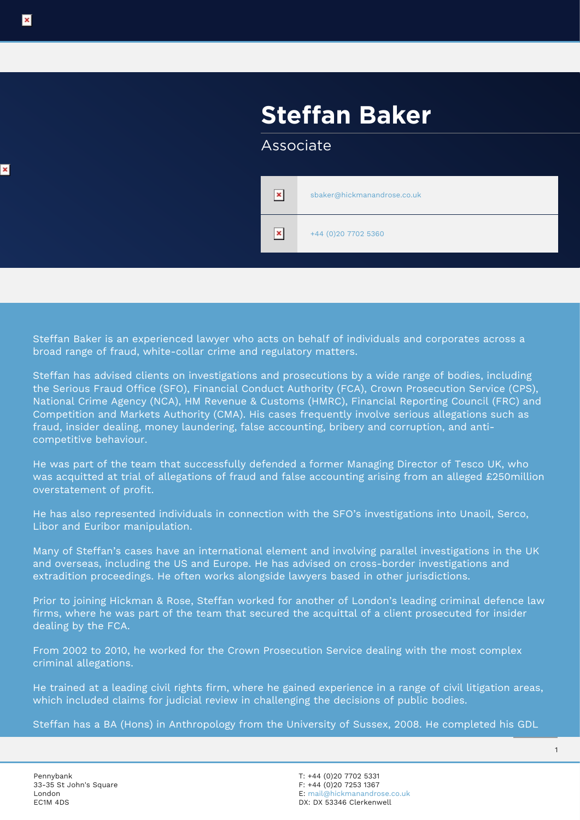# **Steffan Baker**

#### Associate

| ×              | sbaker@hickmanandrose.co.uk |
|----------------|-----------------------------|
| $\pmb{\times}$ | +44 (0)20 7702 5360         |

Steffan Baker is an experienced lawyer who acts on behalf of individuals and corporates across a broad range of fraud, white-collar crime and regulatory matters.

Steffan has advised clients on investigations and prosecutions by a wide range of bodies, including the Serious Fraud Office (SFO), Financial Conduct Authority (FCA), Crown Prosecution Service (CPS), National Crime Agency (NCA), HM Revenue & Customs (HMRC), Financial Reporting Council (FRC) and Competition and Markets Authority (CMA). His cases frequently involve serious allegations such as fraud, insider dealing, money laundering, false accounting, bribery and corruption, and anticompetitive behaviour.

He was part of the team that successfully defended a former Managing Director of Tesco UK, who was acquitted at trial of allegations of fraud and false accounting arising from an alleged £250million overstatement of profit.

He has also represented individuals in connection with the SFO's investigations into Unaoil, Serco, Libor and Euribor manipulation.

Many of Steffan's cases have an international element and involving parallel investigations in the UK and overseas, including the US and Europe. He has advised on cross-border investigations and extradition proceedings. He often works alongside lawyers based in other jurisdictions.

Prior to joining Hickman & Rose, Steffan worked for another of London's leading criminal defence law firms, where he was part of the team that secured the acquittal of a client prosecuted for insider dealing by the FCA.

From 2002 to 2010, he worked for the Crown Prosecution Service dealing with the most complex criminal allegations.

He trained at a leading civil rights firm, where he gained experience in a range of civil litigation areas, which included claims for judicial review in challenging the decisions of public bodies.

Steffan has a BA (Hons) in Anthropology from the University of Sussex, 2008. He completed his GDL

 $\mathbf{x}$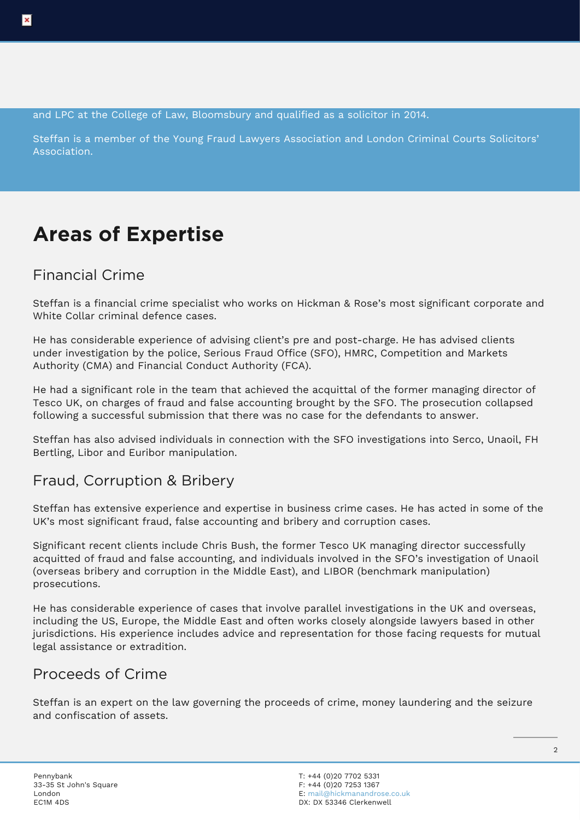and LPC at the College of Law, Bloomsbury and qualified as a solicitor in 2014.

Steffan is a member of the Young Fraud Lawyers Association and London Criminal Courts Solicitors' Association.

## **Areas of Expertise**

#### Financial Crime

Steffan is a financial crime specialist who works on Hickman & Rose's most significant corporate and White Collar criminal defence cases.

He has considerable experience of advising client's pre and post-charge. He has advised clients under investigation by the police, Serious Fraud Office (SFO), HMRC, Competition and Markets Authority (CMA) and Financial Conduct Authority (FCA).

He had a significant role in the team that achieved the acquittal of the former managing director of Tesco UK, on charges of fraud and false accounting brought by the SFO. The prosecution collapsed following a successful submission that there was no case for the defendants to answer.

Steffan has also advised individuals in connection with the SFO investigations into Serco, Unaoil, FH Bertling, Libor and Euribor manipulation.

### Fraud, Corruption & Bribery

Steffan has extensive experience and expertise in business crime cases. He has acted in some of the UK's most significant fraud, false accounting and bribery and corruption cases.

Significant recent clients include Chris Bush, the former Tesco UK managing director successfully acquitted of fraud and false accounting, and individuals involved in the SFO's investigation of Unaoil (overseas bribery and corruption in the Middle East), and LIBOR (benchmark manipulation) prosecutions.

He has considerable experience of cases that involve parallel investigations in the UK and overseas, including the US, Europe, the Middle East and often works closely alongside lawyers based in other jurisdictions. His experience includes advice and representation for those facing requests for mutual legal assistance or extradition.

#### Proceeds of Crime

Steffan is an expert on the law governing the proceeds of crime, money laundering and the seizure and confiscation of assets.